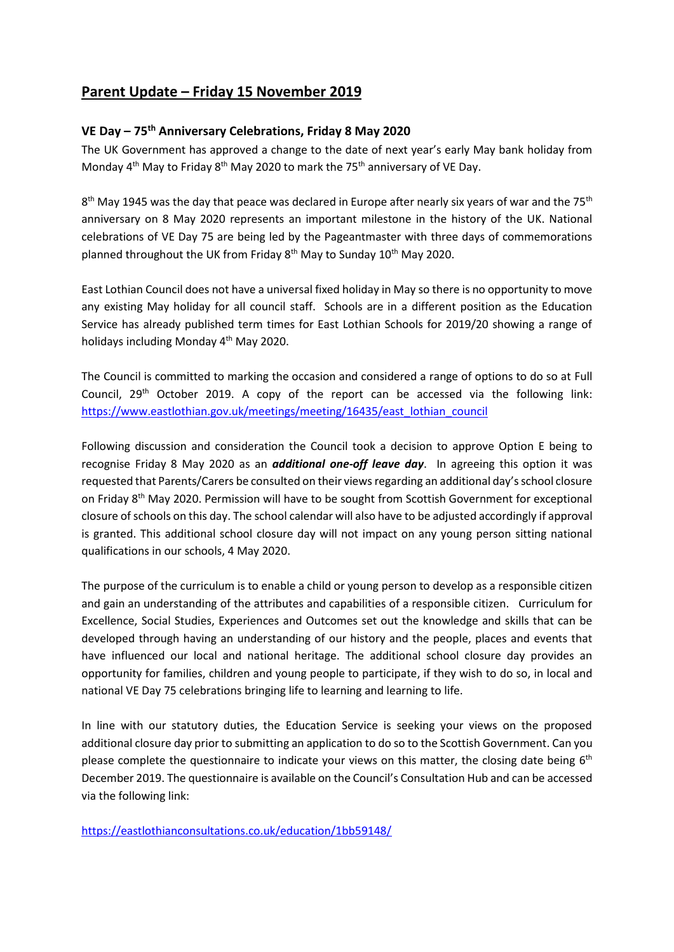# **Parent Update – Friday 15 November 2019**

# **VE Day – 75th Anniversary Celebrations, Friday 8 May 2020**

The UK Government has approved a change to the date of next year's early May bank holiday from Monday 4<sup>th</sup> May to Friday 8<sup>th</sup> May 2020 to mark the 75<sup>th</sup> anniversary of VE Day.

8<sup>th</sup> May 1945 was the day that peace was declared in Europe after nearly six years of war and the 75<sup>th</sup> anniversary on 8 May 2020 represents an important milestone in the history of the UK. National celebrations of VE Day 75 are being led by the Pageantmaster with three days of commemorations planned throughout the UK from Friday  $8<sup>th</sup>$  May to Sunday  $10<sup>th</sup>$  May 2020.

East Lothian Council does not have a universal fixed holiday in May so there is no opportunity to move any existing May holiday for all council staff. Schools are in a different position as the Education Service has already published term times for East Lothian Schools for 2019/20 showing a range of holidays including Monday 4th May 2020.

The Council is committed to marking the occasion and considered a range of options to do so at Full Council,  $29<sup>th</sup>$  October 2019. A copy of the report can be accessed via the following link: [https://www.eastlothian.gov.uk/meetings/meeting/16435/east\\_lothian\\_council](https://www.eastlothian.gov.uk/meetings/meeting/16435/east_lothian_council)

Following discussion and consideration the Council took a decision to approve Option E being to recognise Friday 8 May 2020 as an *additional one-off leave day*. In agreeing this option it was requested that Parents/Carers be consulted on their viewsregarding an additional day's school closure on Friday 8th May 2020. Permission will have to be sought from Scottish Government for exceptional closure of schools on this day. The school calendar will also have to be adjusted accordingly if approval is granted. This additional school closure day will not impact on any young person sitting national qualifications in our schools, 4 May 2020.

The purpose of the curriculum is to enable a child or young person to develop as a responsible citizen and gain an understanding of the attributes and capabilities of a responsible citizen. Curriculum for Excellence, Social Studies, Experiences and Outcomes set out the knowledge and skills that can be developed through having an understanding of our history and the people, places and events that have influenced our local and national heritage. The additional school closure day provides an opportunity for families, children and young people to participate, if they wish to do so, in local and national VE Day 75 celebrations bringing life to learning and learning to life.

In line with our statutory duties, the Education Service is seeking your views on the proposed additional closure day prior to submitting an application to do so to the Scottish Government. Can you please complete the questionnaire to indicate your views on this matter, the closing date being  $6<sup>th</sup>$ December 2019. The questionnaire is available on the Council's Consultation Hub and can be accessed via the following link:

<https://eastlothianconsultations.co.uk/education/1bb59148/>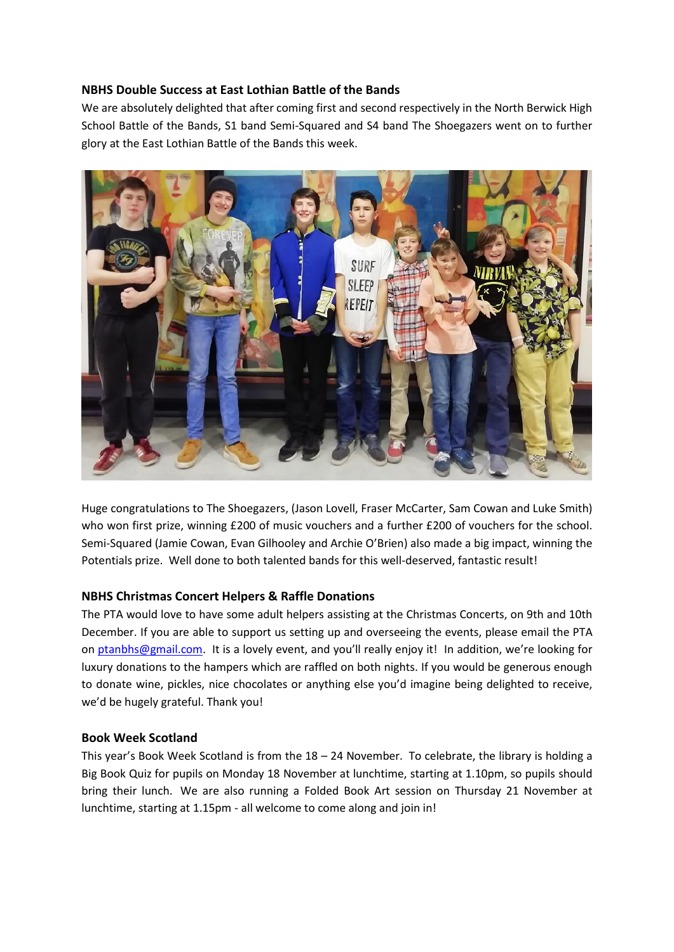# **NBHS Double Success at East Lothian Battle of the Bands**

We are absolutely delighted that after coming first and second respectively in the North Berwick High School Battle of the Bands, S1 band Semi-Squared and S4 band The Shoegazers went on to further glory at the East Lothian Battle of the Bands this week.



Huge congratulations to The Shoegazers, (Jason Lovell, Fraser McCarter, Sam Cowan and Luke Smith) who won first prize, winning £200 of music vouchers and a further £200 of vouchers for the school. Semi-Squared (Jamie Cowan, Evan Gilhooley and Archie O'Brien) also made a big impact, winning the Potentials prize. Well done to both talented bands for this well-deserved, fantastic result!

# **NBHS Christmas Concert Helpers & Raffle Donations**

The PTA would love to have some adult helpers assisting at the Christmas Concerts, on 9th and 10th December. If you are able to support us setting up and overseeing the events, please email the PTA on [ptanbhs@gmail.com.](mailto:ptanbhs@gmail.com) It is a lovely event, and you'll really enjoy it! In addition, we're looking for luxury donations to the hampers which are raffled on both nights. If you would be generous enough to donate wine, pickles, nice chocolates or anything else you'd imagine being delighted to receive, we'd be hugely grateful. Thank you!

### **Book Week Scotland**

This year's Book Week Scotland is from the 18 – 24 November. To celebrate, the library is holding a Big Book Quiz for pupils on Monday 18 November at lunchtime, starting at 1.10pm, so pupils should bring their lunch. We are also running a Folded Book Art session on Thursday 21 November at lunchtime, starting at 1.15pm - all welcome to come along and join in!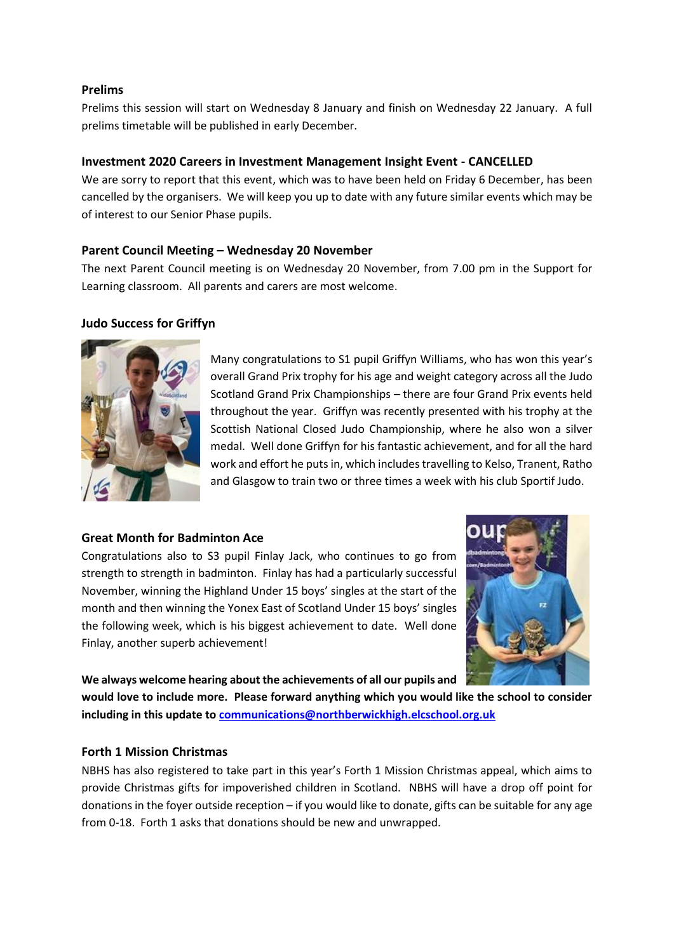### **Prelims**

Prelims this session will start on Wednesday 8 January and finish on Wednesday 22 January. A full prelims timetable will be published in early December.

# **Investment 2020 Careers in Investment Management Insight Event - CANCELLED**

We are sorry to report that this event, which was to have been held on Friday 6 December, has been cancelled by the organisers. We will keep you up to date with any future similar events which may be of interest to our Senior Phase pupils.

# **Parent Council Meeting – Wednesday 20 November**

The next Parent Council meeting is on Wednesday 20 November, from 7.00 pm in the Support for Learning classroom. All parents and carers are most welcome.

# **Judo Success for Griffyn**



Many congratulations to S1 pupil Griffyn Williams, who has won this year's overall Grand Prix trophy for his age and weight category across all the Judo Scotland Grand Prix Championships – there are four Grand Prix events held throughout the year. Griffyn was recently presented with his trophy at the Scottish National Closed Judo Championship, where he also won a silver medal. Well done Griffyn for his fantastic achievement, and for all the hard work and effort he puts in, which includes travelling to Kelso, Tranent, Ratho and Glasgow to train two or three times a week with his club Sportif Judo.

### **Great Month for Badminton Ace**

Congratulations also to S3 pupil Finlay Jack, who continues to go from strength to strength in badminton. Finlay has had a particularly successful November, winning the Highland Under 15 boys' singles at the start of the month and then winning the Yonex East of Scotland Under 15 boys' singles the following week, which is his biggest achievement to date. Well done Finlay, another superb achievement!



**We always welcome hearing about the achievements of all our pupils and** 

**would love to include more. Please forward anything which you would like the school to consider including in this update t[o communications@northberwickhigh.elcschool.org.uk](mailto:communications@northberwickhigh.elcschool.org.uk)**

### **Forth 1 Mission Christmas**

NBHS has also registered to take part in this year's Forth 1 Mission Christmas appeal, which aims to provide Christmas gifts for impoverished children in Scotland. NBHS will have a drop off point for donations in the foyer outside reception – if you would like to donate, gifts can be suitable for any age from 0-18. Forth 1 asks that donations should be new and unwrapped.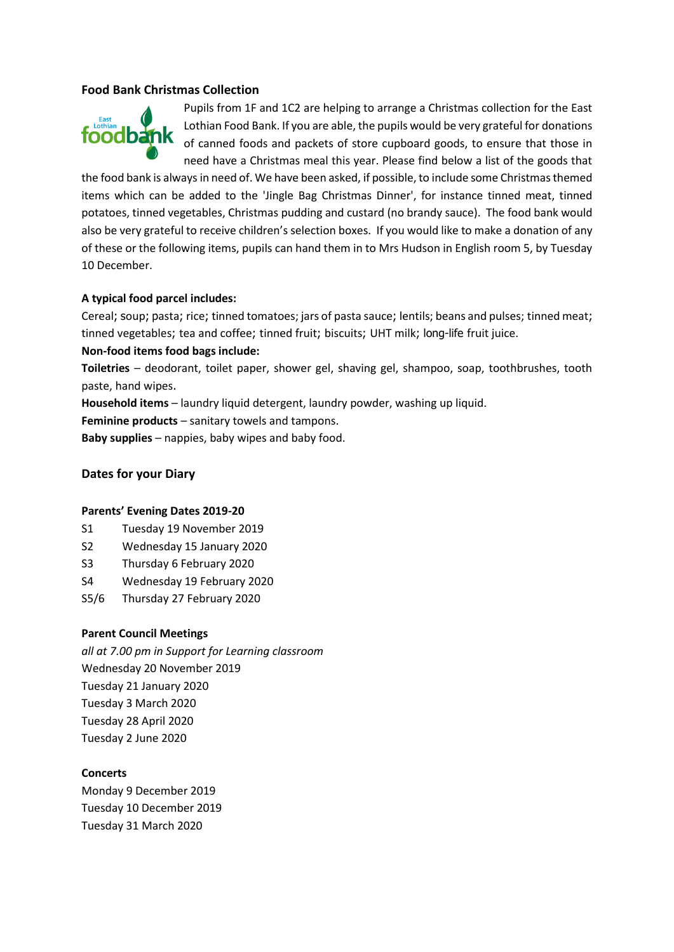### **Food Bank Christmas Collection**



Pupils from 1F and 1C2 are helping to arrange a Christmas collection for the East Lothian Food Bank. If you are able, the pupils would be very grateful for donations of canned foods and packets of store cupboard goods, to ensure that those in need have a Christmas meal this year. Please find below a list of the goods that

the food bank is always in need of. We have been asked, if possible, to include some Christmas themed items which can be added to the 'Jingle Bag Christmas Dinner', for instance tinned meat, tinned potatoes, tinned vegetables, Christmas pudding and custard (no brandy sauce). The food bank would also be very grateful to receive children's selection boxes. If you would like to make a donation of any of these or the following items, pupils can hand them in to Mrs Hudson in English room 5, by Tuesday 10 December.

#### **A typical food parcel includes:**

Cereal; soup; pasta; rice; tinned tomatoes; jars of pasta sauce; lentils; beans and pulses; tinned meat; tinned vegetables; tea and coffee; tinned fruit; biscuits; UHT milk; long-life fruit juice.

#### **Non-food items food bags include:**

**Toiletries** – deodorant, toilet paper, shower gel, shaving gel, shampoo, soap, toothbrushes, tooth paste, hand wipes.

**Household items** – laundry liquid detergent, laundry powder, washing up liquid.

**Feminine products** – sanitary towels and tampons.

**Baby supplies** – nappies, baby wipes and baby food.

#### **Dates for your Diary**

#### **Parents' Evening Dates 2019-20**

- S1 Tuesday 19 November 2019
- S2 Wednesday 15 January 2020
- S3 Thursday 6 February 2020
- S4 Wednesday 19 February 2020
- S5/6 Thursday 27 February 2020

#### **Parent Council Meetings**

*all at 7.00 pm in Support for Learning classroom*  Wednesday 20 November 2019 Tuesday 21 January 2020 Tuesday 3 March 2020 Tuesday 28 April 2020 Tuesday 2 June 2020

### **Concerts**

Monday 9 December 2019 Tuesday 10 December 2019 Tuesday 31 March 2020